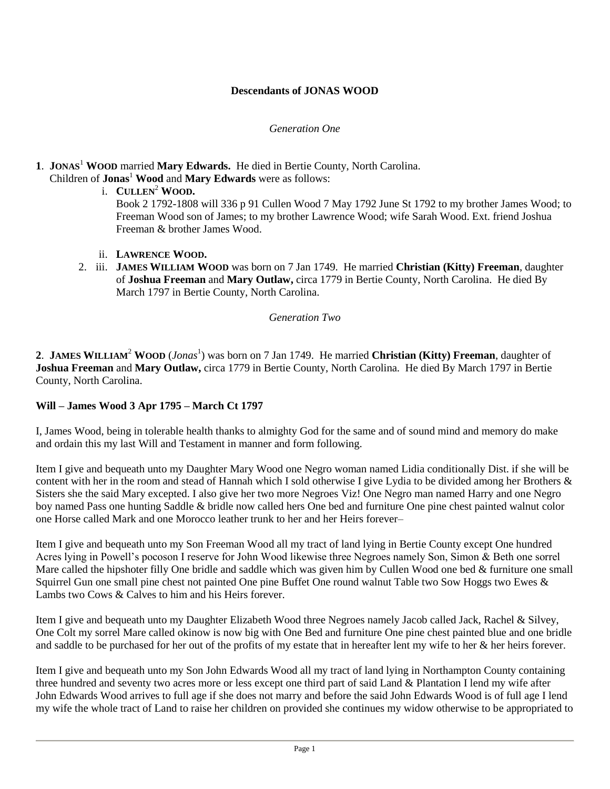## **Descendants of JONAS WOOD**

#### *Generation One*

# **1**. **JONAS**<sup>1</sup> **WOOD** married **Mary Edwards.** He died in Bertie County, North Carolina.

- Children of **Jonas**<sup>1</sup> **Wood** and **Mary Edwards** were as follows:
	- i. **CULLEN**<sup>2</sup> **WOOD.**

Book 2 1792-1808 will 336 p 91 Cullen Wood 7 May 1792 June St 1792 to my brother James Wood; to Freeman Wood son of James; to my brother Lawrence Wood; wife Sarah Wood. Ext. friend Joshua Freeman & brother James Wood.

- ii. **LAWRENCE WOOD.**
- 2. iii. **JAMES WILLIAM WOOD** was born on 7 Jan 1749. He married **Christian (Kitty) Freeman**, daughter of **Joshua Freeman** and **Mary Outlaw,** circa 1779 in Bertie County, North Carolina. He died By March 1797 in Bertie County, North Carolina.

#### *Generation Two*

**2**. **JAMES WILLIAM**<sup>2</sup> **WOOD** (*Jonas*<sup>1</sup> ) was born on 7 Jan 1749. He married **Christian (Kitty) Freeman**, daughter of **Joshua Freeman** and **Mary Outlaw,** circa 1779 in Bertie County, North Carolina. He died By March 1797 in Bertie County, North Carolina.

### **Will – James Wood 3 Apr 1795 – March Ct 1797**

I, James Wood, being in tolerable health thanks to almighty God for the same and of sound mind and memory do make and ordain this my last Will and Testament in manner and form following.

Item I give and bequeath unto my Daughter Mary Wood one Negro woman named Lidia conditionally Dist. if she will be content with her in the room and stead of Hannah which I sold otherwise I give Lydia to be divided among her Brothers & Sisters she the said Mary excepted. I also give her two more Negroes Viz! One Negro man named Harry and one Negro boy named Pass one hunting Saddle & bridle now called hers One bed and furniture One pine chest painted walnut color one Horse called Mark and one Morocco leather trunk to her and her Heirs forever–

Item I give and bequeath unto my Son Freeman Wood all my tract of land lying in Bertie County except One hundred Acres lying in Powell's pocoson I reserve for John Wood likewise three Negroes namely Son, Simon & Beth one sorrel Mare called the hipshoter filly One bridle and saddle which was given him by Cullen Wood one bed & furniture one small Squirrel Gun one small pine chest not painted One pine Buffet One round walnut Table two Sow Hoggs two Ewes & Lambs two Cows & Calves to him and his Heirs forever.

Item I give and bequeath unto my Daughter Elizabeth Wood three Negroes namely Jacob called Jack, Rachel & Silvey, One Colt my sorrel Mare called okinow is now big with One Bed and furniture One pine chest painted blue and one bridle and saddle to be purchased for her out of the profits of my estate that in hereafter lent my wife to her & her heirs forever.

Item I give and bequeath unto my Son John Edwards Wood all my tract of land lying in Northampton County containing three hundred and seventy two acres more or less except one third part of said Land & Plantation I lend my wife after John Edwards Wood arrives to full age if she does not marry and before the said John Edwards Wood is of full age I lend my wife the whole tract of Land to raise her children on provided she continues my widow otherwise to be appropriated to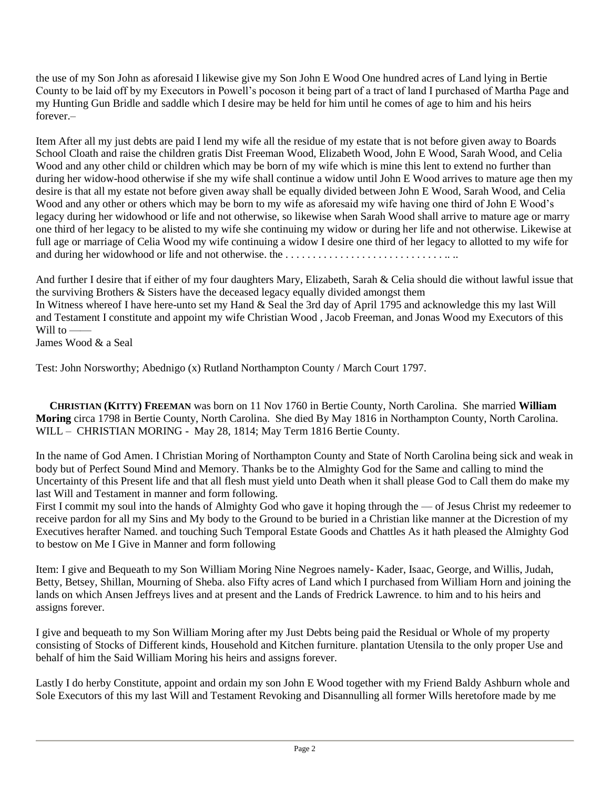the use of my Son John as aforesaid I likewise give my Son John E Wood One hundred acres of Land lying in Bertie County to be laid off by my Executors in Powell's pocoson it being part of a tract of land I purchased of Martha Page and my Hunting Gun Bridle and saddle which I desire may be held for him until he comes of age to him and his heirs forever.–

Item After all my just debts are paid I lend my wife all the residue of my estate that is not before given away to Boards School Cloath and raise the children gratis Dist Freeman Wood, Elizabeth Wood, John E Wood, Sarah Wood, and Celia Wood and any other child or children which may be born of my wife which is mine this lent to extend no further than during her widow-hood otherwise if she my wife shall continue a widow until John E Wood arrives to mature age then my desire is that all my estate not before given away shall be equally divided between John E Wood, Sarah Wood, and Celia Wood and any other or others which may be born to my wife as aforesaid my wife having one third of John E Wood's legacy during her widowhood or life and not otherwise, so likewise when Sarah Wood shall arrive to mature age or marry one third of her legacy to be alisted to my wife she continuing my widow or during her life and not otherwise. Likewise at full age or marriage of Celia Wood my wife continuing a widow I desire one third of her legacy to allotted to my wife for and during her widowhood or life and not otherwise. the . . . . . . . . . . . . . . . . . . . . . . . . . . . . . .. ..

And further I desire that if either of my four daughters Mary, Elizabeth, Sarah & Celia should die without lawful issue that the surviving Brothers & Sisters have the deceased legacy equally divided amongst them

In Witness whereof I have here-unto set my Hand & Seal the 3rd day of April 1795 and acknowledge this my last Will and Testament I constitute and appoint my wife Christian Wood , Jacob Freeman, and Jonas Wood my Executors of this Will to -

James Wood & a Seal

Test: John Norsworthy; Abednigo (x) Rutland Northampton County / March Court 1797.

 **CHRISTIAN (KITTY) FREEMAN** was born on 11 Nov 1760 in Bertie County, North Carolina. She married **William Moring** circa 1798 in Bertie County, North Carolina. She died By May 1816 in Northampton County, North Carolina. WILL – CHRISTIAN MORING - May 28, 1814; May Term 1816 Bertie County.

In the name of God Amen. I Christian Moring of Northampton County and State of North Carolina being sick and weak in body but of Perfect Sound Mind and Memory. Thanks be to the Almighty God for the Same and calling to mind the Uncertainty of this Present life and that all flesh must yield unto Death when it shall please God to Call them do make my last Will and Testament in manner and form following.

First I commit my soul into the hands of Almighty God who gave it hoping through the — of Jesus Christ my redeemer to receive pardon for all my Sins and My body to the Ground to be buried in a Christian like manner at the Dicrestion of my Executives herafter Named. and touching Such Temporal Estate Goods and Chattles As it hath pleased the Almighty God to bestow on Me I Give in Manner and form following

Item: I give and Bequeath to my Son William Moring Nine Negroes namely- Kader, Isaac, George, and Willis, Judah, Betty, Betsey, Shillan, Mourning of Sheba. also Fifty acres of Land which I purchased from William Horn and joining the lands on which Ansen Jeffreys lives and at present and the Lands of Fredrick Lawrence. to him and to his heirs and assigns forever.

I give and bequeath to my Son William Moring after my Just Debts being paid the Residual or Whole of my property consisting of Stocks of Different kinds, Household and Kitchen furniture. plantation Utensila to the only proper Use and behalf of him the Said William Moring his heirs and assigns forever.

Lastly I do herby Constitute, appoint and ordain my son John E Wood together with my Friend Baldy Ashburn whole and Sole Executors of this my last Will and Testament Revoking and Disannulling all former Wills heretofore made by me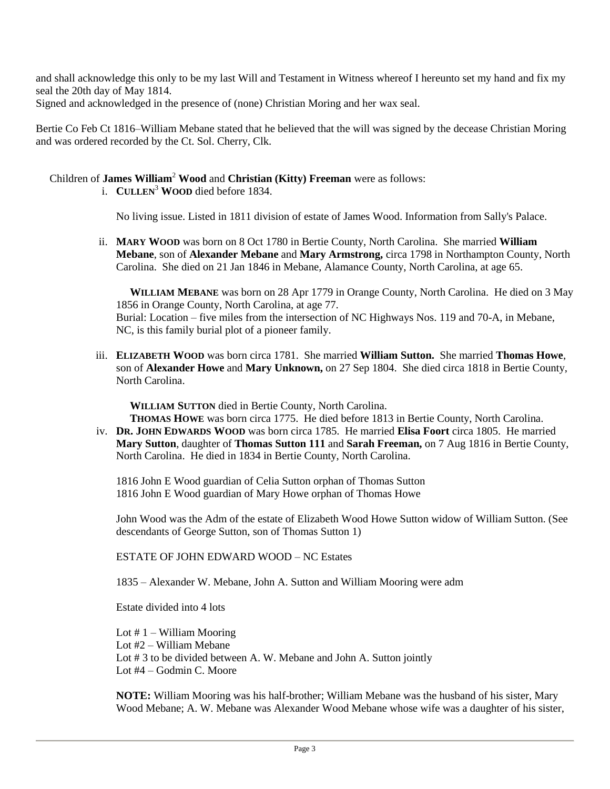and shall acknowledge this only to be my last Will and Testament in Witness whereof I hereunto set my hand and fix my seal the 20th day of May 1814.

Signed and acknowledged in the presence of (none) Christian Moring and her wax seal.

Bertie Co Feb Ct 1816–William Mebane stated that he believed that the will was signed by the decease Christian Moring and was ordered recorded by the Ct. Sol. Cherry, Clk.

## Children of **James William**<sup>2</sup> **Wood** and **Christian (Kitty) Freeman** were as follows:

i. **CULLEN**<sup>3</sup> **WOOD** died before 1834.

No living issue. Listed in 1811 division of estate of James Wood. Information from Sally's Palace.

ii. **MARY WOOD** was born on 8 Oct 1780 in Bertie County, North Carolina. She married **William Mebane**, son of **Alexander Mebane** and **Mary Armstrong,** circa 1798 in Northampton County, North Carolina. She died on 21 Jan 1846 in Mebane, Alamance County, North Carolina, at age 65.

 **WILLIAM MEBANE** was born on 28 Apr 1779 in Orange County, North Carolina. He died on 3 May 1856 in Orange County, North Carolina, at age 77. Burial: Location – five miles from the intersection of NC Highways Nos. 119 and 70-A, in Mebane, NC, is this family burial plot of a pioneer family.

iii. **ELIZABETH WOOD** was born circa 1781. She married **William Sutton.** She married **Thomas Howe**, son of **Alexander Howe** and **Mary Unknown,** on 27 Sep 1804. She died circa 1818 in Bertie County, North Carolina.

**WILLIAM SUTTON** died in Bertie County, North Carolina.

**THOMAS HOWE** was born circa 1775. He died before 1813 in Bertie County, North Carolina.

iv. **DR. JOHN EDWARDS WOOD** was born circa 1785. He married **Elisa Foort** circa 1805. He married **Mary Sutton**, daughter of **Thomas Sutton 111** and **Sarah Freeman,** on 7 Aug 1816 in Bertie County, North Carolina. He died in 1834 in Bertie County, North Carolina.

1816 John E Wood guardian of Celia Sutton orphan of Thomas Sutton 1816 John E Wood guardian of Mary Howe orphan of Thomas Howe

John Wood was the Adm of the estate of Elizabeth Wood Howe Sutton widow of William Sutton. (See descendants of George Sutton, son of Thomas Sutton 1)

ESTATE OF JOHN EDWARD WOOD – NC Estates

1835 – Alexander W. Mebane, John A. Sutton and William Mooring were adm

Estate divided into 4 lots

Lot  $# 1 -$  William Mooring Lot #2 – William Mebane Lot #3 to be divided between A. W. Mebane and John A. Sutton jointly Lot #4 – Godmin C. Moore

**NOTE:** William Mooring was his half-brother; William Mebane was the husband of his sister, Mary Wood Mebane; A. W. Mebane was Alexander Wood Mebane whose wife was a daughter of his sister,